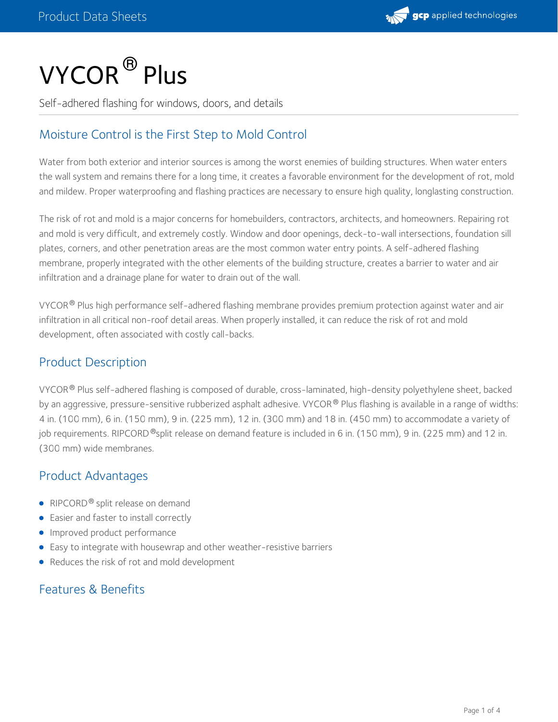

# $\mathsf{VYCOR}^{\circledR}\mathsf{Plus}$

Self-adhered flashing for windows, doors, and details

# Moisture Control is the First Step to Mold Control

Water from both exterior and interior sources is among the worst enemies of building structures. When water enters the wall system and remains there for a long time, it creates a favorable environment for the development of rot, mold and mildew. Proper waterproofing and flashing practices are necessary to ensure high quality, longlasting construction.

The risk of rot and mold is a major concerns for homebuilders, contractors, architects, and homeowners. Repairing rot and mold is very difficult, and extremely costly. Window and door openings, deck-to-wall intersections, foundation sill plates, corners, and other penetration areas are the most common water entry points. A self-adhered flashing membrane, properly integrated with the other elements of the building structure, creates a barrier to water and air infiltration and a drainage plane for water to drain out of the wall.

VYCOR  $^\circ$  Plus high performance self-adhered flashing membrane provides premium protection against water and air infiltration in all critical non-roof detail areas. When properly installed, it can reduce the risk of rot and mold development, often associated with costly call-backs.

# Product Description

VYCOR® Plus self-adhered flashing is composed of durable, cross-laminated, high-density polyethylene sheet, backed by an aggressive, pressure-sensitive rubberized asphalt adhesive. VYCOR® Plus flashing is available in a range of widths: 4 in. (100 mm), 6 in. (150 mm), 9 in. (225 mm), 12 in. (300 mm) and 18 in. (450 mm) to accommodate a variety of job requirements. RIPCORD <sup>®</sup>split release on demand feature is included in 6 in. (150 mm), 9 in. (225 mm) and 12 in. (300 mm) wide membranes.

# Product Advantages

- RIPCORD® split release on demand
- Easier and faster to install correctly
- **Improved product performance**
- Easy to integrate with housewrap and other weather-resistive barriers
- Reduces the risk of rot and mold development

## Features & Benefits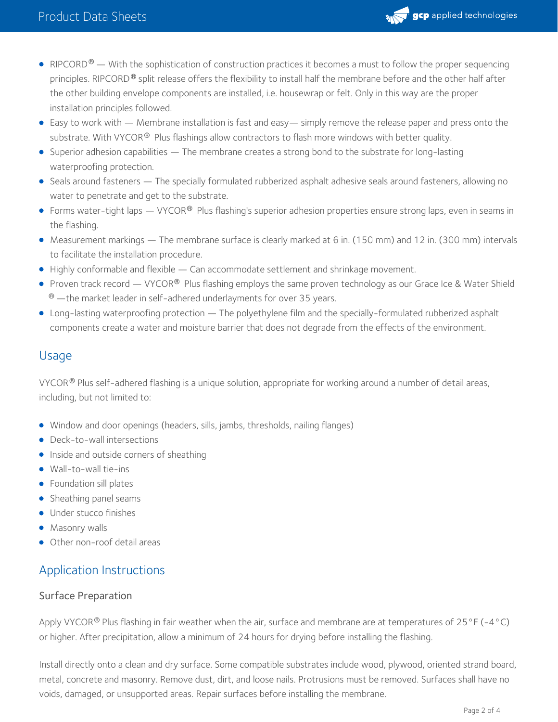

- RIPCORD $^\circledR$  With the sophistication of construction practices it becomes a must to follow the proper sequencing principles. RIPCORD® split release offers the flexibility to install half the membrane before and the other half after the other building envelope components are installed, i.e. housewrap or felt. Only in this way are the proper installation principles followed.
- Easy to work with Membrane installation is fast and easy— simply remove the release paper and press onto the substrate. With VYCOR<sup>®</sup> Plus flashings allow contractors to flash more windows with better quality.
- Superior adhesion capabilities The membrane creates a strong bond to the substrate for long-lasting waterproofing protection.
- Seals around fasteners The specially formulated rubberized asphalt adhesive seals around fasteners, allowing no water to penetrate and get to the substrate.
- Forms water-tight laps VYCOR $^\circledast$  Plus flashing's superior adhesion properties ensure strong laps, even in seams in the flashing.
- Measurement markings The membrane surface is clearly marked at 6 in. (150 mm) and 12 in. (300 mm) intervals to facilitate the installation procedure.
- Highly conformable and flexible Can accommodate settlement and shrinkage movement.
- Proven track record VYCOR® Plus flashing employs the same proven technology as our Grace Ice & Water Shield  $^\circledR$  —the market leader in self-adhered underlayments for over 35 years.
- Long-lasting waterproofing protection The polyethylene film and the specially-formulated rubberized asphalt components create a water and moisture barrier that does not degrade from the effects of the environment.

# Usage

VYCOR $^\circledR$  Plus self-adhered flashing is a unique solution, appropriate for working around a number of detail areas, including, but not limited to:

- Window and door openings (headers, sills, jambs, thresholds, nailing flanges)
- Deck-to-wall intersections
- **Inside and outside corners of sheathing**
- Wall-to-wall tie-ins
- Foundation sill plates
- Sheathing panel seams
- Under stucco finishes
- **•** Masonry walls
- Other non-roof detail areas

# Application Instructions

#### Surface Preparation

Apply VYCOR  $^\circ$  Plus flashing in fair weather when the air, surface and membrane are at temperatures of 25 °F (-4 °C) or higher. After precipitation, allow a minimum of 24 hours for drying before installing the flashing.

Install directly onto a clean and dry surface. Some compatible substrates include wood, plywood, oriented strand board, metal, concrete and masonry. Remove dust, dirt, and loose nails. Protrusions must be removed. Surfaces shall have no voids, damaged, or unsupported areas. Repair surfaces before installing the membrane.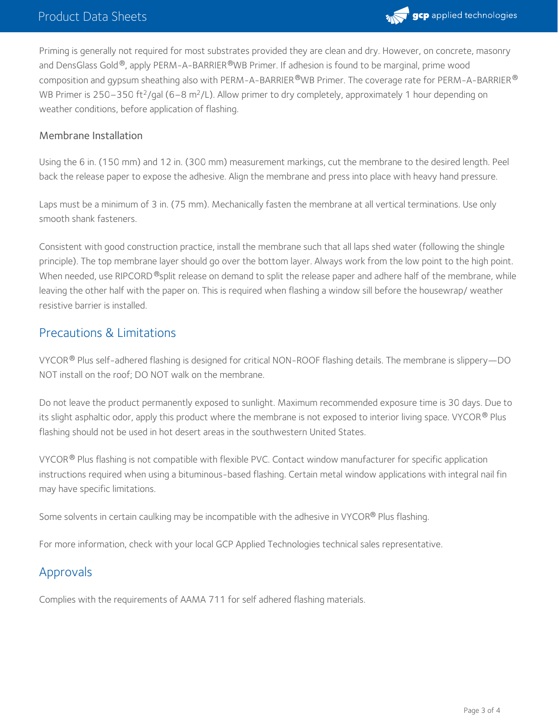

Priming is generally not required for most substrates provided they are clean and dry. However, on concrete, masonry and DensGlass Gold®, apply PERM-A-BARRIER®WB Primer. If adhesion is found to be marginal, prime wood composition and gypsum sheathing also with PERM-A-BARRIER®WB Primer. The coverage rate for PERM-A-BARRIER® WB Primer is 250–350 ft<sup>2</sup>/gal (6–8 m<sup>2</sup>/L). Allow primer to dry completely, approximately 1 hour depending on weather conditions, before application of flashing.

#### Membrane Installation

Using the 6 in. (150 mm) and 12 in. (300 mm) measurement markings, cut the membrane to the desired length. Peel back the release paper to expose the adhesive. Align the membrane and press into place with heavy hand pressure.

Laps must be a minimum of 3 in. (75 mm). Mechanically fasten the membrane at all vertical terminations. Use only smooth shank fasteners.

Consistent with good construction practice, install the membrane such that all laps shed water (following the shingle principle). The top membrane layer should go over the bottom layer. Always work from the low point to the high point. When needed, use RIPCORD ®split release on demand to split the release paper and adhere half of the membrane, while leaving the other half with the paper on. This is required when flashing a window sill before the housewrap/ weather resistive barrier is installed.

## Precautions & Limitations

VYCOR® Plus self-adhered flashing is designed for critical NON-ROOF flashing details. The membrane is slippery—DO NOT install on the roof; DO NOT walk on the membrane.

Do not leave the product permanently exposed to sunlight. Maximum recommended exposure time is 30 days. Due to its slight asphaltic odor, apply this product where the membrane is not exposed to interior living space. VYCOR $^\circledR$  Plus flashing should not be used in hot desert areas in the southwestern United States.

<code>VYCOR®</code> Plus flashing is not compatible with flexible PVC. Contact window manufacturer for specific application instructions required when using a bituminous-based flashing. Certain metal window applications with integral nail fin may have specific limitations.

Some solvents in certain caulking may be incompatible with the adhesive in VYCOR® Plus flashing.

For more information, check with your local GCP Applied Technologies technical sales representative.

## Approvals

Complies with the requirements of AAMA 711 for self adhered flashing materials.